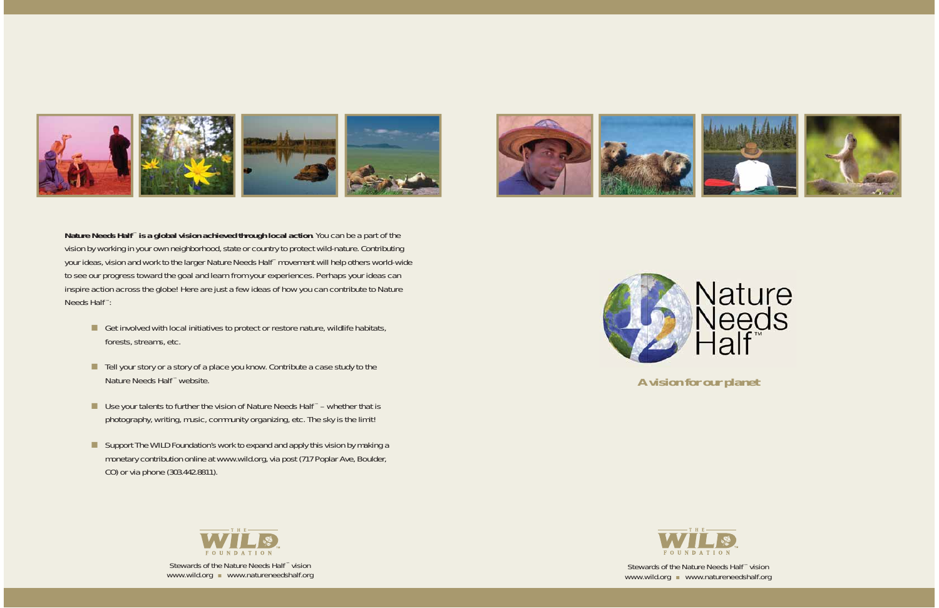# **A vision for our planet**





**Nature Needs Half** ™ **is a global vision achieved through local action**. You can be a part of the vision by working in your own neighborhood, state or country to protect wild-nature. Contributing your ideas, vision and work to the larger Nature Needs Half™ movement will help others world-wide to see our progress toward the goal and learn from your experiences. Perhaps your ideas can inspire action across the globe! Here are just a few ideas of how you can contribute to Nature Needs Half ™:

- Get involved with local initiatives to protect or restore nature, wildlife habitats, forests, streams, etc.
- Tell your story or a story of a place you know. Contribute a case study to the Nature Needs Half ™ website.
- Use your talents to further the vision of Nature Needs Half<sup>™</sup> whether that is photography, writing, music, community organizing, etc. The sky is the limit!
- Support The WILD Foundation's work to expand and apply this vision by making a monetary contribution online at www.wild.org, via post (717 Poplar Ave, Boulder, CO) or via phone (303.442.8811).

Stewards of the Nature Needs Half ™ vision www.wild.org vww.natureneedshalf.org



Stewards of the Nature Needs Half ™ vision www.wild.org vww.natureneedshalf.org